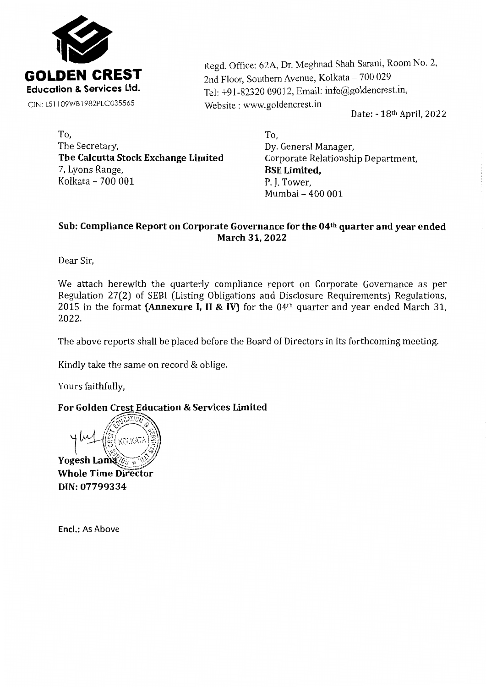

Regd. Office: 62A, Dr. Meghnad Shah Sarani, Room No. 2, 2nd Floor, Southern Avenue, Kolkata - 700 029 Tel: +91-82320 09012, Email: info@goldencrest.in, Website : www.goldencrest.in

Date: - 18th April, 2022

To, The Secretary, **The Calcutta Stock Exchange Limited**  7, Lyons Range, Kolkata - 700 001 **P. J.** Tower,

To, Dy. General Manager, Corporate Relationship Department, **BSE Limited,**  Mumbai - 400 001

# **Sub: Compliance Report on Corporate Governance for the 04th quarter and year ended March 31, 2022**

Dear Sir,

We attach herewith the quarterly compliance report on Corporate Governance as per Regulation 27(2) of SEBI (Listing Obligations and Disclosure Requirements) Regulations, 2015 in the format **(Annexure I,** II & **IV)** for the 04th quarter and year ended March 31, 2022.

The above reports shall be placed before the Board of Directors in its forthcoming meeting.

Kindly take the same on record & oblige.

Yours faithfully,

# For Golden Crest Education & Services Limited

KOLKATA Yogesh Lama $\mathscr{C}_{\tilde{v}}$ **Whole Time Director** DIN: 07799334

**Encl.:** As Above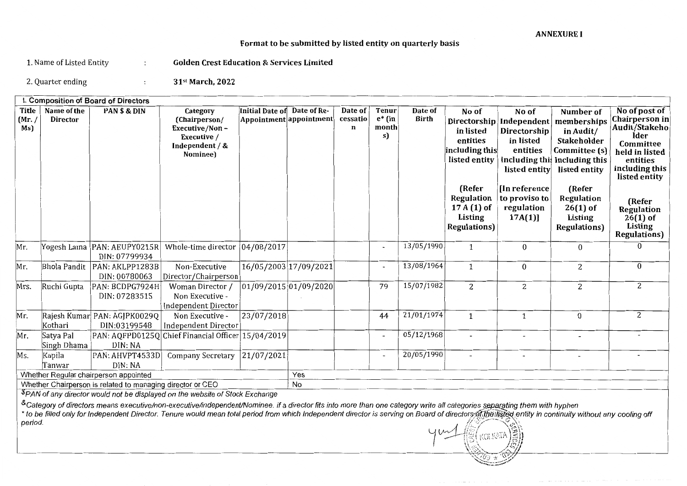## Format to be submitted by listed entity on quarterly basis

1. Name of Listed Entity : Golden Crest Education & Services Limited

2. Quarter ending  $\qquad \qquad ; \qquad \qquad$  31<sup>st</sup> March, 2022

|                        | I. Composition of Board of Directors                                                      |                                                            |                                                                                           |                                            |             |                          |                                          |                         |                                                                                                                                     |                                                                                                                                                      |                                                                                                                                                                                                         |                                                                                                                                                                                                                        |
|------------------------|-------------------------------------------------------------------------------------------|------------------------------------------------------------|-------------------------------------------------------------------------------------------|--------------------------------------------|-------------|--------------------------|------------------------------------------|-------------------------|-------------------------------------------------------------------------------------------------------------------------------------|------------------------------------------------------------------------------------------------------------------------------------------------------|---------------------------------------------------------------------------------------------------------------------------------------------------------------------------------------------------------|------------------------------------------------------------------------------------------------------------------------------------------------------------------------------------------------------------------------|
| Title<br>(Mr. /<br>Ms) | Name of the<br><b>Director</b>                                                            | PAN \$ & DIN                                               | Category<br>(Chairperson/<br>Executive/Non-<br>Executive /<br>Independent / &<br>Nominee) | Initial Date of<br>Appointment appointment | Date of Re- | Date of<br>cessatio<br>n | <b>Tenur</b><br>$e^*$ (in<br>month<br>s) | Date of<br><b>Birth</b> | No of<br>in listed<br>entities<br>including this<br>listed entity<br>(Refer<br>Regulation<br>$17A(1)$ of<br>Listing<br>Regulations) | No of<br>Directorship Independent<br>Directorship<br>in listed<br>entities<br>listed entity<br>In reference<br>to proviso to<br>regulation<br>17A(1) | Number of<br>memberships<br>in Audit/<br><b>Stakeholder</b><br>Committee (s)<br>including this Including this<br>listed entity<br>(Refer<br>Regulation<br>$26(1)$ of<br>Listing<br><b>Regulations</b> ) | No of post of<br>Chairperson in<br>Audit/Stakeho<br>lder<br><b>Committee</b><br>held in listed<br>entities<br>including this<br>listed entity<br>(Refer<br>Regulation<br>$26(1)$ of<br>Listing<br><b>Regulations</b> ) |
| Mr.                    |                                                                                           | Yogesh Lama  PAN: AEUPY0215R <br>DIN: 07799934             | Whole-time director                                                                       | 04/08/2017                                 |             |                          | $\blacksquare$                           | 13/05/1990              | $\mathbf{1}$                                                                                                                        | 0                                                                                                                                                    | $\mathbf{0}$                                                                                                                                                                                            | $\Omega$                                                                                                                                                                                                               |
| Mr.                    | Bhola Pandit                                                                              | PAN: AKLPP1283B<br>DIN: 00780063                           | Non-Executive<br>Director/Chairperson                                                     | 16/05/2003 17/09/2021                      |             |                          | $\blacksquare$                           | 13/08/1964              | $\mathbf{1}$                                                                                                                        | 0                                                                                                                                                    | $\overline{a}$                                                                                                                                                                                          | $\overline{0}$                                                                                                                                                                                                         |
| Mrs.                   | Ruchi Gupta                                                                               | PAN: BCDPG7924H<br>DIN: 07283515                           | Woman Director /<br>Non Executive -<br><b>Independent Director</b>                        | 01/09/2015 01/09/2020                      |             |                          | 79                                       | 15/07/1982              | 2                                                                                                                                   | $\overline{2}$                                                                                                                                       | 2                                                                                                                                                                                                       | 2                                                                                                                                                                                                                      |
| Mr.                    | Kothari                                                                                   | Rajesh Kumar PAN: AGJPK0029Q<br>DIN:03199548               | Non Executive -<br><b>Independent Director</b>                                            | 23/07/2018                                 |             |                          | 44                                       | 21/01/1974              | 1                                                                                                                                   | $\mathbf{1}$                                                                                                                                         | $\bf{0}$                                                                                                                                                                                                | 2                                                                                                                                                                                                                      |
| Mr.                    | Satya Pal<br>Singh Dhama                                                                  | DIN: NA                                                    | PAN: AQFPD0125Q Chief Financial Officer 15/04/2019                                        |                                            |             |                          | $\overline{\phantom{a}}$                 | 05/12/1968              | Ξ.                                                                                                                                  |                                                                                                                                                      |                                                                                                                                                                                                         |                                                                                                                                                                                                                        |
| Ms.                    | Kapila<br>Tanwar                                                                          | PAN: AHVPT4533D<br>DIN: NA                                 | <b>Company Secretary</b>                                                                  | 21/07/2021                                 |             |                          | $\overline{\phantom{a}}$                 | 20/05/1990              | $\overline{a}$                                                                                                                      |                                                                                                                                                      |                                                                                                                                                                                                         |                                                                                                                                                                                                                        |
|                        |                                                                                           | Whether Regular chairperson appointed                      |                                                                                           |                                            | Yes         |                          |                                          |                         |                                                                                                                                     |                                                                                                                                                      |                                                                                                                                                                                                         |                                                                                                                                                                                                                        |
|                        |                                                                                           | Whether Chairperson is related to managing director or CEO |                                                                                           |                                            | No          |                          |                                          |                         |                                                                                                                                     |                                                                                                                                                      |                                                                                                                                                                                                         |                                                                                                                                                                                                                        |
|                        | <sup>\$</sup> PAN of any director would not be displayed on the website of Stock Exchange |                                                            |                                                                                           |                                            |             |                          |                                          |                         |                                                                                                                                     |                                                                                                                                                      |                                                                                                                                                                                                         |                                                                                                                                                                                                                        |

&Category of directors means executive/non-executive/independent/Nominee. if a director fits into more than one category write all categories separating them with hyphen

\* to be filled only for Independent Director. Tenure would mean total period from which Independent director is serving on Board of directors of the listed entity in continuity without any cooling off<br>period.

)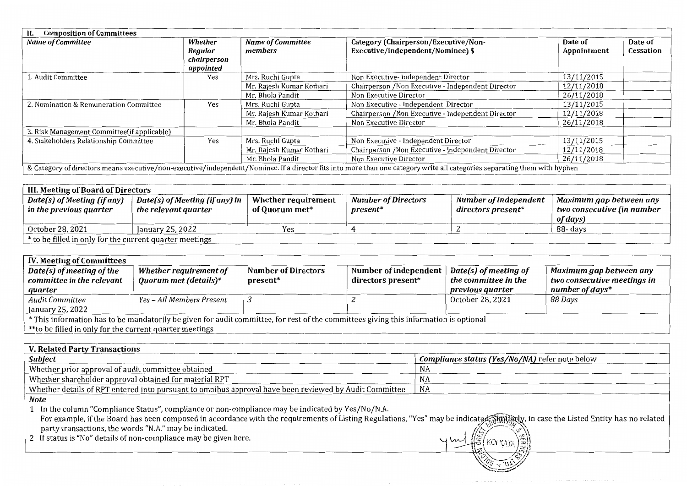| <b>Composition of Committees</b>             |             |                          |                                                                                                                                                                            |             |           |  |  |
|----------------------------------------------|-------------|--------------------------|----------------------------------------------------------------------------------------------------------------------------------------------------------------------------|-------------|-----------|--|--|
| <b>Name of Committee</b>                     | Whether     | Name of Committee        | Category (Chairperson/Executive/Non-                                                                                                                                       | Date of     | Date of   |  |  |
|                                              | Regular     | members                  | Executive/independent/Nominee) \$                                                                                                                                          | Appointment | Cessation |  |  |
|                                              | chairperson |                          |                                                                                                                                                                            |             |           |  |  |
|                                              | appointed   |                          |                                                                                                                                                                            |             |           |  |  |
| 1. Audit Committee                           | Yes         | Mrs. Ruchi Gupta         | Non Executive-Independent Director                                                                                                                                         | 13/11/2015  |           |  |  |
|                                              |             | Mr. Rajesh Kumar Kothari | Chairperson /Non Executive - Independent Director                                                                                                                          | 12/11/2018  |           |  |  |
|                                              |             | Mr. Bhola Pandit         | Non Executive Director                                                                                                                                                     | 26/11/2018  |           |  |  |
| 2. Nomination & Remuneration Committee       | Yes         | Mrs. Ruchi Gupta         | Non Executive - Independent Director                                                                                                                                       | 13/11/2015  |           |  |  |
|                                              |             | Mr. Rajesh Kumar Kothari | Chairperson / Non Executive - Independent Director                                                                                                                         | 12/11/2018  |           |  |  |
|                                              |             | Mr. Bhola Pandit         | Non Executive Director                                                                                                                                                     | 26/11/2018  |           |  |  |
| 3. Risk Management Committee (if applicable) |             |                          |                                                                                                                                                                            |             |           |  |  |
| 4. Stakeholders Relationship Committee       | Yes         | Mrs. Ruchi Gupta         | Non Executive - Independent Director                                                                                                                                       | 13/11/2015  |           |  |  |
|                                              |             | Mr. Rajesh Kumar Kothari | Chairperson / Non Executive - Independent Director                                                                                                                         | 12/11/2018  |           |  |  |
|                                              |             | Mr. Bhola Pandit         | Non Executive Director                                                                                                                                                     | 26/11/2018  |           |  |  |
|                                              |             |                          | & Category of directors means executive/non-executive/independent/Nominee. if a director fits into more than one category write all categories separating them with hyphen |             |           |  |  |

| III. Meeting of Board of Directors                      |                                                        |                                       |                                        |                                             |                                                                   |  |  |  |
|---------------------------------------------------------|--------------------------------------------------------|---------------------------------------|----------------------------------------|---------------------------------------------|-------------------------------------------------------------------|--|--|--|
| Date(s) of Meeting (if any)<br>in the previous quarter  | Date(s) of Meeting (if any) in<br>the relevant quarter | Whether requirement<br>of Quorum met* | Number of Directors<br><i>present*</i> | Number of independent<br>directors present* | Maximum gap between any<br>two consecutive (in number<br>of days) |  |  |  |
| October 28, 2021                                        | January 25, 2022                                       | Yes                                   |                                        |                                             | 88- davs                                                          |  |  |  |
| * to be filled in only for the current quarter meetings |                                                        |                                       |                                        |                                             |                                                                   |  |  |  |

| <b>IV. Meeting of Committees</b>                                                                                                                                                                                |                       |          |                    |                                                |  |  |  |  |
|-----------------------------------------------------------------------------------------------------------------------------------------------------------------------------------------------------------------|-----------------------|----------|--------------------|------------------------------------------------|--|--|--|--|
| Date(s) of meeting of the<br><b>Number of Directors</b><br>Whether requirement of<br>Number of independent $\parallel$<br>$\vert$ Date(s) of meeting of<br>Maximum gap between any<br>committee in the relevant |                       |          |                    |                                                |  |  |  |  |
|                                                                                                                                                                                                                 |                       |          |                    | two consecutive meetings in<br>number of days* |  |  |  |  |
|                                                                                                                                                                                                                 |                       |          |                    |                                                |  |  |  |  |
| Yes - All Members Present                                                                                                                                                                                       |                       |          | October 28, 2021   | 88 Davs                                        |  |  |  |  |
|                                                                                                                                                                                                                 |                       |          |                    |                                                |  |  |  |  |
| * This information has to be mandatorily be given for audit committee, for rest of the committees giving this information is optional                                                                           |                       |          |                    |                                                |  |  |  |  |
| **to be filled in only for the current quarter meetings                                                                                                                                                         |                       |          |                    |                                                |  |  |  |  |
|                                                                                                                                                                                                                 | Quorum met (details)* | present* | directors present* | the committee in the<br>previous quarter       |  |  |  |  |

| V. Related Party Transactions                                                                          |                                                       |
|--------------------------------------------------------------------------------------------------------|-------------------------------------------------------|
| <b>Subject</b>                                                                                         | <b>Compliance status (Yes/No/NA)</b> refer note below |
| Whether prior approval of audit committee obtained                                                     | NΑ                                                    |
| Whether shareholder approval obtained for material RPT                                                 | ΝA                                                    |
| Whether details of RPT entered into pursuant to omnibus approval have been reviewed by Audit Committee | NA                                                    |
| Note                                                                                                   |                                                       |

 1 In the column "Compliance Status", compliance or non-compliance may be indicated by Yes/No/N.A. For example, if the Board has been composed in accordance with the requirements of Listing Regulations, "Yes" may be indicated Standard, in case the Listed Entity has no related party transactions, the words "N.A." may be party transactions, the words "N.A." may be indicated.<br>2 If status is "No" details of non-compliance may be given here.

 $r_{\text{KOLKATA}}(\hat{\mathbf{x}})$ . ... *-,v,'* --:,y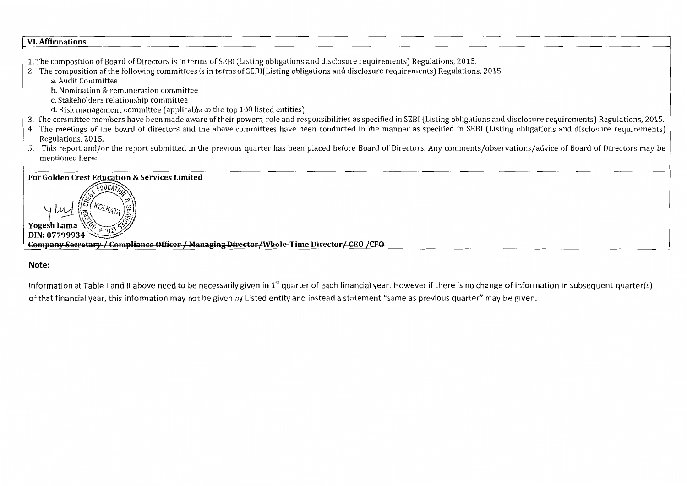#### VI. Affirmations

- 1. The composition of Board of Directors is in terms of SEBI (Listing obligations and disclosure requirements) Regulations, 2015.
- 2. The composition of the following committees is in terms of SEBI(Listing obligations and disclosure requirements) Regulations, 2015 a. Audit Committee
	- b. Nomination & remuneration committee
	- c. Stakeholders relationship committee
	- d. Risk management committee (applicable to the top 100 listed entities)
- 3. The committee members have been made aware of their powers, role and responsibilities as specified in SEBI (Listing obligations and disclosure requirements) Regulations, 2015.
- 4. The meetings of the board of directors and the above committees have been conducted in the manner as specified in SEBI (Listing obligations and disclosure requirements) Regulations, 2015.
- 5. This report and/or the report submitted in the previous quarter has been placed before Board of Directors. Any comments/observations/advice of Board of Directors may be mentioned here:

## For Golden Crest Education & Services Limited



**Company Secretary / Compliance Officer / Managing Director/Whole-Time Director/ CEO /CFO** 

## Note:

Information at Table I and II above need to be necessarily given in  $1<sup>st</sup>$  quarter of each financial year. However if there is no change of information in subsequent quarter(s) of that financial year, this information may not be given by Listed entity and instead a statement "same as previous quarter" may be given.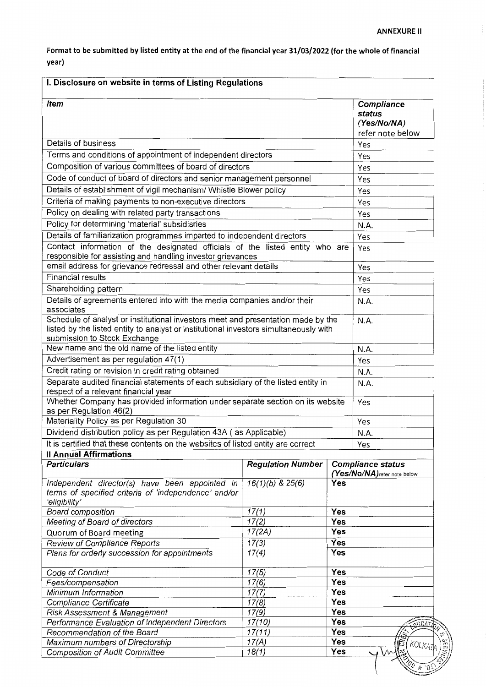**Format to be submitted by listed entity at the end of the financial year 31/03/2022 {for the whole of financial year)** 

| I. Disclosure on website in terms of Listing Regulations                                                                                                                                                  |                          |                   |                                                          |  |
|-----------------------------------------------------------------------------------------------------------------------------------------------------------------------------------------------------------|--------------------------|-------------------|----------------------------------------------------------|--|
| <b>Item</b>                                                                                                                                                                                               |                          |                   | Compliance<br>status<br>(Yes/No/NA)<br>refer note below  |  |
| Details of business                                                                                                                                                                                       |                          |                   | Yes                                                      |  |
| Terms and conditions of appointment of independent directors                                                                                                                                              |                          |                   | Yes                                                      |  |
| Composition of various committees of board of directors                                                                                                                                                   |                          |                   | Yes                                                      |  |
| Code of conduct of board of directors and senior management personnel                                                                                                                                     |                          |                   | Yes                                                      |  |
| Details of establishment of vigil mechanism/ Whistle Blower policy                                                                                                                                        |                          |                   | Yes                                                      |  |
| Criteria of making payments to non-executive directors                                                                                                                                                    |                          |                   |                                                          |  |
| Policy on dealing with related party transactions                                                                                                                                                         |                          |                   | Yes                                                      |  |
| Policy for determining 'material' subsidiaries                                                                                                                                                            |                          |                   | Yes                                                      |  |
| Details of familiarization programmes imparted to independent directors                                                                                                                                   |                          |                   | N.A.                                                     |  |
| Contact information of the designated officials of the listed entity who are                                                                                                                              |                          |                   | Yes                                                      |  |
| responsible for assisting and handling investor grievances                                                                                                                                                |                          |                   | Yes                                                      |  |
| email address for grievance redressal and other relevant details                                                                                                                                          |                          |                   | Yes                                                      |  |
| <b>Financial results</b>                                                                                                                                                                                  |                          |                   | Yes                                                      |  |
| Shareholding pattern                                                                                                                                                                                      |                          |                   | Yes                                                      |  |
| Details of agreements entered into with the media companies and/or their<br>associates                                                                                                                    |                          |                   | N.A.                                                     |  |
| Schedule of analyst or institutional investors meet and presentation made by the<br>listed by the listed entity to analyst or institutional investors simultaneously with<br>submission to Stock Exchange |                          |                   | N.A.                                                     |  |
| New name and the old name of the listed entity                                                                                                                                                            |                          |                   | N.A.                                                     |  |
| Advertisement as per regulation 47(1)                                                                                                                                                                     |                          |                   | Yes                                                      |  |
| Credit rating or revision in credit rating obtained                                                                                                                                                       |                          |                   | N.A.                                                     |  |
| Separate audited financial statements of each subsidiary of the listed entity in<br>respect of a relevant financial year                                                                                  | N.A.                     |                   |                                                          |  |
| Whether Company has provided information under separate section on its website<br>as per Regulation 46(2)                                                                                                 |                          |                   | Yes                                                      |  |
| Materiality Policy as per Regulation 30                                                                                                                                                                   |                          |                   | Yes                                                      |  |
| Dividend distribution policy as per Regulation 43A (as Applicable)                                                                                                                                        |                          |                   | N.A.                                                     |  |
| It is certified that these contents on the websites of listed entity are correct                                                                                                                          |                          |                   | Yes                                                      |  |
| <b>Il Annual Affirmations</b>                                                                                                                                                                             |                          |                   |                                                          |  |
| <b>Particulars</b>                                                                                                                                                                                        | <b>Regulation Number</b> |                   | <b>Compliance status</b><br>(Yes/No/NA) refer note below |  |
| Independent director(s) have been appointed in<br>terms of specified criteria of 'independence' and/or<br>'eligibility'                                                                                   | $16(1)(b)$ & $25(6)$     | Yes               |                                                          |  |
| <b>Board composition</b>                                                                                                                                                                                  | 17(1)                    | Yes               |                                                          |  |
| <b>Meeting of Board of directors</b>                                                                                                                                                                      | 17(2)                    | Yes               |                                                          |  |
| Quorum of Board meeting                                                                                                                                                                                   | 17(2A)                   | Yes               |                                                          |  |
| <b>Review of Compliance Reports</b>                                                                                                                                                                       | 17(3)<br>17(4)           | Yes<br>Yes        |                                                          |  |
| Plans for orderly succession for appointments                                                                                                                                                             |                          |                   |                                                          |  |
| Code of Conduct                                                                                                                                                                                           |                          |                   |                                                          |  |
| 17(6)<br>Yes<br>Fees/compensation<br>Yes<br>17(7)                                                                                                                                                         |                          |                   |                                                          |  |
| Minimum Information                                                                                                                                                                                       |                          |                   |                                                          |  |
| Compliance Certificate                                                                                                                                                                                    | 17(8)                    | <b>Yes</b><br>Yes |                                                          |  |
| Risk Assessment & Management<br>Performance Evaluation of Independent Directors                                                                                                                           | 17(9)<br>17(10)          | Yes               |                                                          |  |
|                                                                                                                                                                                                           | 17(11)                   | Yes               |                                                          |  |
|                                                                                                                                                                                                           |                          |                   |                                                          |  |
| Recommendation of the Board<br>Maximum numbers of Directorship                                                                                                                                            | 17(A)                    | Yes               | KOLK                                                     |  |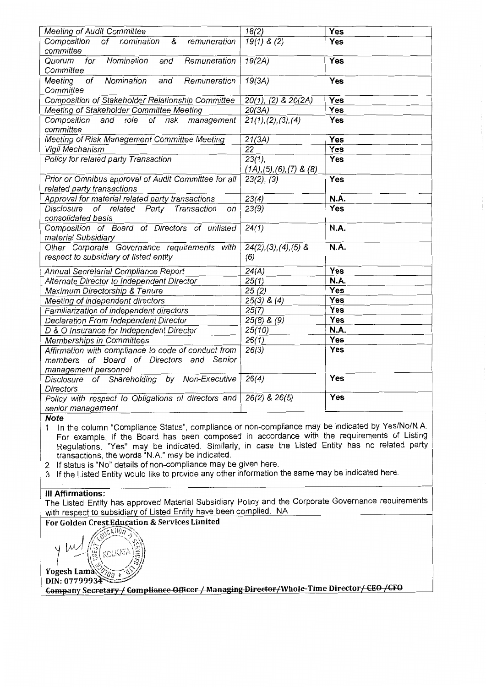| <b>Meeting of Audit Committee</b>                                         | 18(2)                         | Yes        |
|---------------------------------------------------------------------------|-------------------------------|------------|
| Composition<br>of<br>nomination<br>&<br>remuneration                      | $19(1)$ & (2)                 | Yes        |
| committee                                                                 |                               |            |
| Nomination<br>for<br>Remuneration<br>Quorum<br>and                        | 19(2A)                        | Yes        |
| Committee                                                                 |                               |            |
| Nomination<br>Meeting<br>of<br>Remuneration<br>and                        | 19(3A)                        | Yes        |
| Committee                                                                 |                               |            |
| Composition of Stakeholder Relationship Committee                         | 20(1), (2) & 20(2A)           | <b>Yes</b> |
| Meeting of Stakeholder Committee Meeting                                  | 20(3A)                        | Yes        |
| Composition<br>of risk<br>and<br>role<br>management                       | 21(1), (2), (3), (4)          | <b>Yes</b> |
| committee                                                                 |                               |            |
| Meeting of Risk Management Committee Meeting                              | 21(3A)                        | Yes        |
| Vigil Mechanism                                                           | 22                            | <b>Yes</b> |
| Policy for related party Transaction                                      | $23(1)$ ,                     | Yes        |
|                                                                           | $(1A), (5), (6), (7)$ & $(8)$ |            |
| Prior or Omnibus approval of Audit Committee for all                      | $23(2)$ , $(3)$               | Yes        |
| related party transactions                                                |                               |            |
| Approval for material related party transactions                          | 23(4)                         | N.A.       |
| Disclosure<br>of related Party<br>Transaction<br>on<br>consolidated basis | 23(9)                         | Yes        |
| Composition of Board of Directors of unlisted                             | 24(1)                         | N.A.       |
| material Subsidiary                                                       |                               |            |
| Other Corporate Governance requirements with                              | $24(2), (3), (4), (5)$ &      | N.A.       |
| respect to subsidiary of listed entity                                    | (6)                           |            |
|                                                                           |                               |            |
| Annual Secretarial Compliance Report                                      | 24(A)                         | Yes        |
| Alternate Director to Independent Director                                | 25(1)                         | N.A.       |
| Maximum Directorship & Tenure                                             | 25(2)                         | <b>Yes</b> |
| Meeting of independent directors                                          | $25(3)$ & $(4)$               | Yes        |
| Familiarization of independent directors                                  | 25(7)                         | Yes        |
| Declaration From Independent Director                                     | $25(8)$ & $(9)$               | <b>Yes</b> |
| D & O Insurance for Independent Director                                  | 25(10)                        | N.A.       |
| Memberships in Committees                                                 | 26(1)                         | Yes        |
| Affirmation with compliance to code of conduct from                       | 26(3)                         | Yes        |
| of Board of Directors<br>Senior<br>and<br>members                         |                               |            |
| management personnel                                                      |                               | <b>Yes</b> |
| Disclosure of Shareholding by Non-Executive                               | 26(4)                         |            |
| <b>Directors</b>                                                          | 26(2) & 26(5)                 | Yes        |
| Policy with respect to Obligations of directors and                       |                               |            |
| senior management                                                         |                               |            |

## **Note**

1 In the column "Compliance Status", compliance or non-compliance may be indicated by Yes/No/NA For example, if the Board has been composed in accordance with the requirements of Listing Regulations, "Yes" may be indicated. Similarly, in case the Listed Entity has no related party transactions, the words "N.A." may be indicated.

- 2 If status is "No" details of non-compliance may be given here.
- 3 If the Listed Entity would like to provide any other information the same may be indicated here.

### Ill Affirmations:

The Listed Entity has approved Material Subsidiary Policy and the Corporate Governance requirements with respect to subsidiary of Listed Entity have been complied. NA

## For Golden Crest Education & Services Limited

**1.4. 1 /**  $\sqrt{N^2C^2N(10n/2N)}}$  $\gamma$   $\sim$   $\frac{1}{2}$   $\frac{1}{2}$   $\frac{1}{2}$   $\frac{1}{2}$  $\text{Yogesh Lama} \otimes_{\partial g} \overline{\mathcal{F}}$ <br>DIN: 07799934

DIN: 07799934~..:::;;;::." ~ ~ I"---·· - - ~'"" I 1\11. \_,\_ - T\~ . 'Whole-Time Director ' ""~ *trro*  - -- <sup>~</sup>I ... ..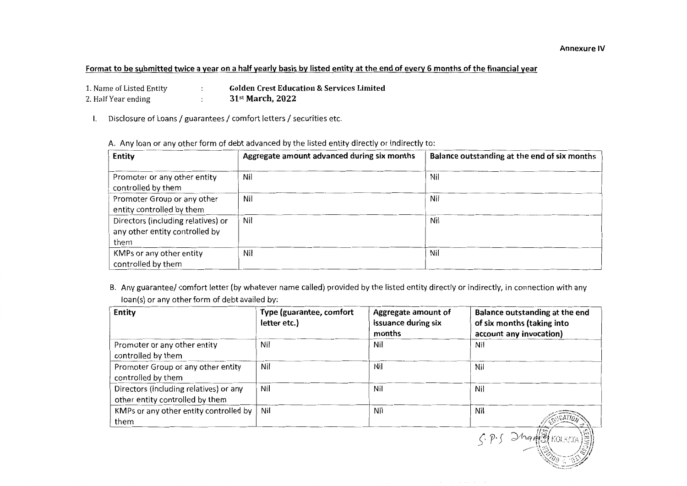## Format to be submitted twice a year on a half yearly basis by listed entity at the end of every 6 months of the financial year

- 1. Name of Listed Entity ÷ Golden Crest Education & Services Limited 2. Half Year ending 31st March, 2022 ÷
- I. Disclosure of Loans / guarantees / comfort letters / securities etc.

| A. Any loan or any other form of debt advanced by the listed entity directly or indirectly to: |  |  |
|------------------------------------------------------------------------------------------------|--|--|
|------------------------------------------------------------------------------------------------|--|--|

| <b>Entity</b>                                                                | Aggregate amount advanced during six months | Balance outstanding at the end of six months |
|------------------------------------------------------------------------------|---------------------------------------------|----------------------------------------------|
| Promoter or any other entity<br>controlled by them                           | Nil                                         | Nil                                          |
| Promoter Group or any other<br>entity controlled by them                     | Nil                                         | Nil                                          |
| Directors (including relatives) or<br>any other entity controlled by<br>them | Nil                                         | Nil                                          |
| KMPs or any other entity<br>controlled by them                               | Nil                                         | Nil                                          |

B. Any guarantee/ comfort letter (by whatever name called) provided by the listed entity directly or indirectly, in connection with any loan(s) or any other form of debt availed by:

| <b>Entity</b>                                                             | Type (guarantee, comfort<br>letter etc.) | Aggregate amount of<br>issuance during six<br>months | Balance outstanding at the end<br>of six months (taking into<br>account any invocation) |
|---------------------------------------------------------------------------|------------------------------------------|------------------------------------------------------|-----------------------------------------------------------------------------------------|
| Promoter or any other entity<br>controlled by them                        | Nil                                      | Nil                                                  | Nil                                                                                     |
| Promoter Group or any other entity<br>controlled by them                  | Nil                                      | Nil                                                  | Nil                                                                                     |
| Directors (including relatives) or any<br>other entity controlled by them | Nil                                      | Nil                                                  | Nil                                                                                     |
| KMPs or any other entity controlled by<br>them                            | Nil                                      | Nil                                                  | Nil                                                                                     |
|                                                                           |                                          |                                                      |                                                                                         |